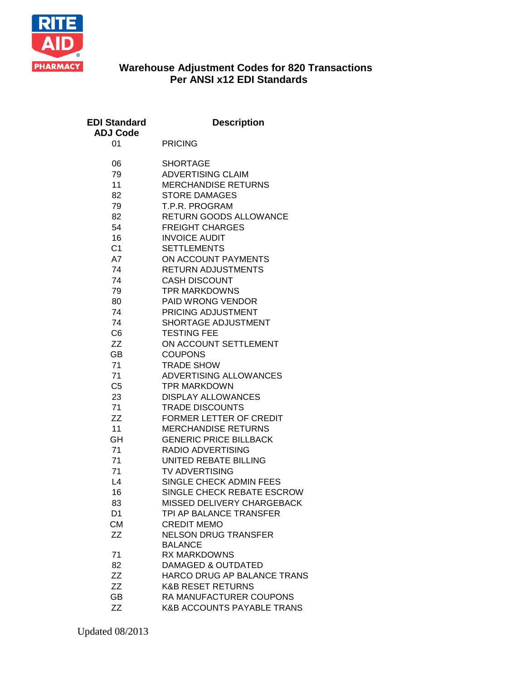

## **Warehouse Adjustment Codes for 820 Transactions Per ANSI x12 EDI Standards**

| <b>EDI Standard</b><br><b>ADJ Code</b> | <b>Description</b>                                |
|----------------------------------------|---------------------------------------------------|
| 01                                     | <b>PRICING</b>                                    |
| 06                                     | <b>SHORTAGE</b>                                   |
| 79                                     | <b>ADVERTISING CLAIM</b>                          |
| 11                                     | <b>MERCHANDISE RETURNS</b>                        |
| 82                                     | <b>STORE DAMAGES</b>                              |
| 79                                     | T.P.R. PROGRAM                                    |
| 82                                     | RETURN GOODS ALLOWANCE                            |
| 54                                     | <b>FREIGHT CHARGES</b>                            |
| 16<br>C <sub>1</sub>                   | <b>INVOICE AUDIT</b>                              |
| A7                                     | <b>SETTLEMENTS</b><br>ON ACCOUNT PAYMENTS         |
| 74                                     | <b>RETURN ADJUSTMENTS</b>                         |
| 74                                     | <b>CASH DISCOUNT</b>                              |
| 79                                     | <b>TPR MARKDOWNS</b>                              |
| 80                                     | PAID WRONG VENDOR                                 |
| 74                                     | PRICING ADJUSTMENT                                |
| 74                                     | SHORTAGE ADJUSTMENT                               |
| C <sub>6</sub>                         | <b>TESTING FEE</b>                                |
| ΖZ                                     | ON ACCOUNT SETTLEMENT                             |
| GВ                                     | <b>COUPONS</b>                                    |
| 71                                     | <b>TRADE SHOW</b>                                 |
| 71                                     | ADVERTISING ALLOWANCES                            |
| C <sub>5</sub>                         | <b>TPR MARKDOWN</b>                               |
| 23                                     | <b>DISPLAY ALLOWANCES</b>                         |
| 71<br>ZZ                               | <b>TRADE DISCOUNTS</b><br>FORMER LETTER OF CREDIT |
| 11                                     | <b>MERCHANDISE RETURNS</b>                        |
| <b>GH</b>                              | <b>GENERIC PRICE BILLBACK</b>                     |
| 71                                     | RADIO ADVERTISING                                 |
| 71                                     | <b>UNITED REBATE BILLING</b>                      |
| 71                                     | <b>TV ADVERTISING</b>                             |
| L4                                     | SINGLE CHECK ADMIN FEES                           |
| 16                                     | SINGLE CHECK REBATE ESCROW                        |
| 83                                     | MISSED DELIVERY CHARGEBACK                        |
| D1                                     | TPI AP BALANCE TRANSFER                           |
| <b>CM</b>                              | <b>CREDIT MEMO</b>                                |
| ZZ                                     | <b>NELSON DRUG TRANSFER</b><br><b>BALANCE</b>     |
| 71                                     | <b>RX MARKDOWNS</b>                               |
| 82                                     | DAMAGED & OUTDATED                                |
| ΖZ                                     | HARCO DRUG AP BALANCE TRANS                       |
| ZZ                                     | <b>K&amp;B RESET RETURNS</b>                      |
| <b>GB</b>                              | RA MANUFACTURER COUPONS                           |
| ΖZ                                     | <b>K&amp;B ACCOUNTS PAYABLE TRANS</b>             |